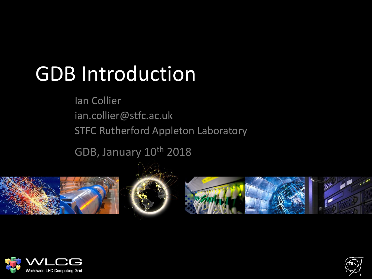## GDB Introduction

Ian Collier ian.collier@stfc.ac.uk STFC Rutherford Appleton Laboratory

GDB, January 10th 2018









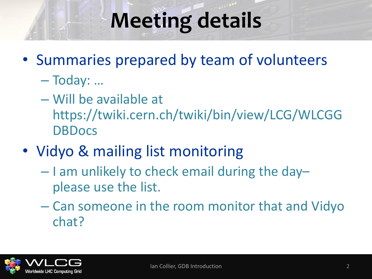## **Meeting details**

- Summaries prepared by team of volunteers
	- Today: …
	- Will be available at https://twiki.cern.ch/twiki/bin/view/LCG/WLCGG **DBDocs**
- Vidyo & mailing list monitoring
	- $-$  I am unlikely to check email during the dayplease use the list.
	- Can someone in the room monitor that and Vidyo chat?

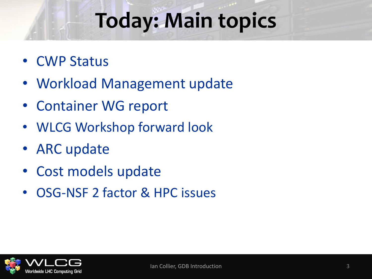## **Today: Main topics**

- CWP Status
- Workload Management update
- Container WG report
- WLCG Workshop forward look
- ARC update
- Cost models update
- OSG-NSF 2 factor & HPC issues

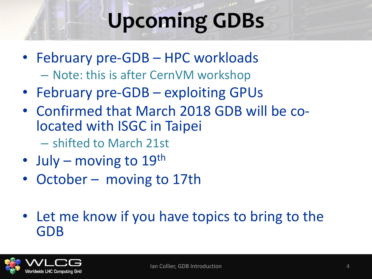# **Upcoming GDBs**

- February pre-GDB HPC workloads
	- Note: this is after CernVM workshop
- February pre-GDB exploiting GPUs
- Confirmed that March 2018 GDB will be colocated with ISGC in Taipei
	- shifted to March 21st
- July moving to  $19^{th}$
- October moving to 17th
- Let me know if you have topics to bring to the GDB

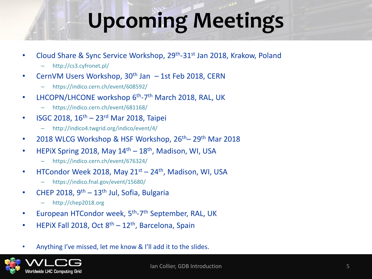## **Upcoming Meetings**

- Cloud Share & Sync Service Workshop, 29<sup>th</sup>-31<sup>st</sup> Jan 2018, Krakow, Poland
	- http://cs3.cyfronet.pl/
- CernVM Users Workshop,  $30<sup>th</sup>$  Jan  $-1$ st Feb 2018, CERN
	- https://indico.cern.ch/event/608592/
- LHCOPN/LHCONE workshop 6<sup>th</sup>-7<sup>th</sup> March 2018, RAL, UK
	- https://indico.cern.ch/event/681168/
- ISGC 2018,  $16^{th} 23^{rd}$  Mar 2018, Taipei
	- http://indico4.twgrid.org/indico/event/4/
- 2018 WLCG Workshop & HSF Workshop,  $26<sup>th</sup>$  29<sup>th</sup> Mar 2018
- HEPIX Spring 2018, May  $14<sup>th</sup> 18<sup>th</sup>$ , Madison, WI, USA
	- https://indico.cern.ch/event/676324/
- HTCondor Week 2018, May  $21^{st}$   $24^{th}$ , Madison, WI, USA
	- https://indico.fnal.gov/event/15680/
- CHEP 2018,  $9<sup>th</sup> 13<sup>th</sup>$  Jul, Sofia, Bulgaria
	- http://chep2018.org
- European HTCondor week, 5<sup>th</sup>-7<sup>th</sup> September, RAL, UK
- HEPIX Fall 2018, Oct  $8<sup>th</sup> 12<sup>th</sup>$ , Barcelona, Spain
- Anything I've missed, let me know & I'll add it to the slides.

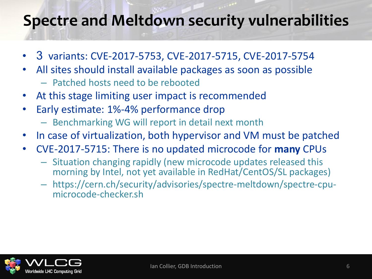### **Spectre and Meltdown security vulnerabilities**

- 3 variants: CVE-2017-5753, CVE-2017-5715, CVE-2017-5754
- All sites should install available packages as soon as possible
	- Patched hosts need to be rebooted
- At this stage limiting user impact is recommended
- Early estimate: 1%-4% performance drop
	- Benchmarking WG will report in detail next month
- In case of virtualization, both hypervisor and VM must be patched
- CVE-2017-5715: There is no updated microcode for **many** CPUs
	- Situation changing rapidly (new microcode updates released this morning by Intel, not yet available in RedHat/CentOS/SL packages)
	- https://cern.ch/security/advisories/spectre-meltdown/spectre-cpumicrocode-checker.sh

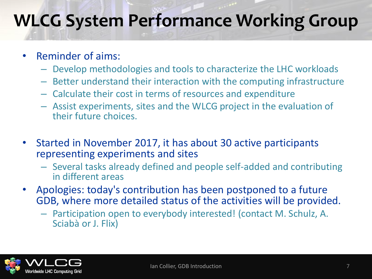## **WLCG System Performance Working Group**

- Reminder of aims:
	- Develop methodologies and tools to characterize the LHC workloads
	- Better understand their interaction with the computing infrastructure
	- Calculate their cost in terms of resources and expenditure
	- Assist experiments, sites and the WLCG project in the evaluation of their future choices.
- Started in November 2017, it has about 30 active participants representing experiments and sites
	- Several tasks already defined and people self-added and contributing in different areas
- Apologies: today's contribution has been postponed to a future GDB, where more detailed status of the activities will be provided.
	- Participation open to everybody interested! (contact M. Schulz, A. Sciabà or J. Flix)

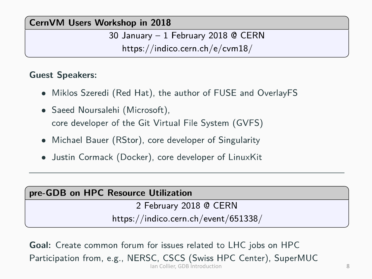### **CernVM Users Workshop in 2018**

30 January - 1 February 2018 @ CERN https://indico.cern.ch/e/cvm18/

### **Guest Speakers:**

- Miklos Szeredi (Red Hat), the author of FUSE and OverlayFS
- Saeed Noursalehi (Microsoft), core developer of the Git Virtual File System (GVFS)
- Michael Bauer (RStor), core developer of Singularity
- Justin Cormack (Docker), core developer of LinuxKit

#### pre-GDB on HPC Resource Utilization

2 February 2018 @ CERN

https://indico.cern.ch/event/651338/

**Goal:** Create common forum for issues related to LHC jobs on HPC Participation from, e.g., NERSC, CSCS (Swiss HPC Center), SuperMUC Ian Collier, GDB Introduction 8